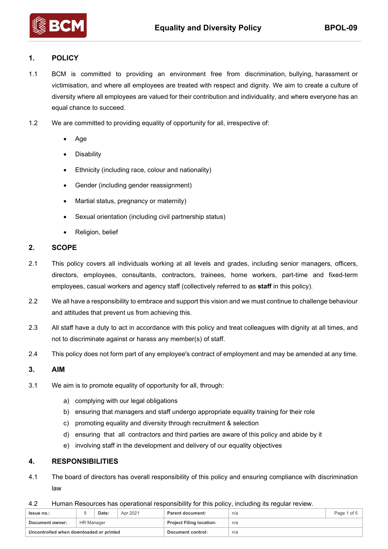

# **1. POLICY**

1.1 BCM is committed to providing an environment free from discrimination, bullying, harassment or victimisation, and where all employees are treated with respect and dignity. We aim to create a culture of diversity where all employees are valued for their contribution and individuality, and where everyone has an equal chance to succeed.

- 1.2 We are committed to providing equality of opportunity for all, irrespective of:
	- Age
	- **Disability**
	- Ethnicity (including race, colour and nationality)
	- Gender (including gender reassignment)
	- Martial status, pregnancy or maternity)
	- Sexual orientation (including civil partnership status)
	- Religion, belief

#### **2. SCOPE**

- 2.1 This policy covers all individuals working at all levels and grades, including senior managers, officers, directors, employees, consultants, contractors, trainees, home workers, part-time and fixed-term employees, casual workers and agency staff (collectively referred to as **staff** in this policy).
- 2.2 We all have a responsibility to embrace and support this vision and we must continue to challenge behaviour and attitudes that prevent us from achieving this.
- 2.3 All staff have a duty to act in accordance with this policy and treat colleagues with dignity at all times, and not to discriminate against or harass any member(s) of staff.
- 2.4 This policy does not form part of any employee's contract of employment and may be amended at any time.

## **3. AIM**

- 3.1 We aim is to promote equality of opportunity for all, through:
	- a) complying with our legal obligations
	- b) ensuring that managers and staff undergo appropriate equality training for their role
	- c) promoting equality and diversity through recruitment & selection
	- d) ensuring that all contractors and third parties are aware of this policy and abide by it
	- e) involving staff in the development and delivery of our equality objectives

### **4. RESPONSIBILITIES**

- 4.1 The board of directors has overall responsibility of this policy and ensuring compliance with discrimination law
- 4.2 Human Resources has operational responsibility for this policy, including its regular review.

| <b>Issue no.:</b>                       |            | Date: | Apr 2021 | Parent document:                | n/a | Page 1 of 5 |
|-----------------------------------------|------------|-------|----------|---------------------------------|-----|-------------|
| Document owner:                         | HR Manager |       |          | <b>Project Filing location:</b> | n/a |             |
| Uncontrolled when downloaded or printed |            |       |          | Document control:               | n/a |             |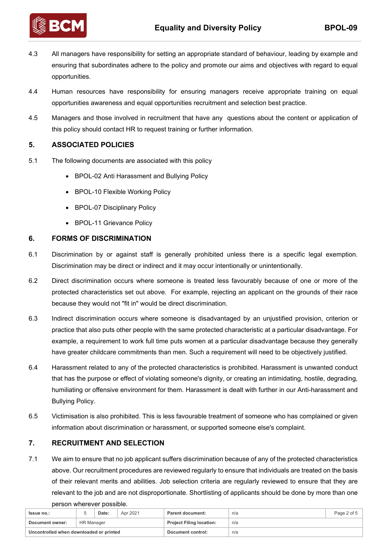

4.3 All managers have responsibility for setting an appropriate standard of behaviour, leading by example and ensuring that subordinates adhere to the policy and promote our aims and objectives with regard to equal opportunities.

- 4.4 Human resources have responsibility for ensuring managers receive appropriate training on equal opportunities awareness and equal opportunities recruitment and selection best practice.
- 4.5 Managers and those involved in recruitment that have any questions about the content or application of this policy should contact HR to request training or further information.

# **5. ASSOCIATED POLICIES**

- 5.1 The following documents are associated with this policy
	- BPOL-02 Anti Harassment and Bullying Policy
	- BPOL-10 Flexible Working Policy
	- BPOL-07 Disciplinary Policy
	- BPOL-11 Grievance Policy

### **6. FORMS OF DISCRIMINATION**

- 6.1 Discrimination by or against staff is generally prohibited unless there is a specific legal exemption. Discrimination may be direct or indirect and it may occur intentionally or unintentionally.
- 6.2 Direct discrimination occurs where someone is treated less favourably because of one or more of the protected characteristics set out above. For example, rejecting an applicant on the grounds of their race because they would not "fit in" would be direct discrimination.
- 6.3 Indirect discrimination occurs where someone is disadvantaged by an unjustified provision, criterion or practice that also puts other people with the same protected characteristic at a particular disadvantage. For example, a requirement to work full time puts women at a particular disadvantage because they generally have greater childcare commitments than men. Such a requirement will need to be objectively justified.
- 6.4 Harassment related to any of the protected characteristics is prohibited. Harassment is unwanted conduct that has the purpose or effect of violating someone's dignity, or creating an intimidating, hostile, degrading, humiliating or offensive environment for them. Harassment is dealt with further in our Anti-harassment and Bullying Policy.
- 6.5 Victimisation is also prohibited. This is less favourable treatment of someone who has complained or given information about discrimination or harassment, or supported someone else's complaint.

### **7. RECRUITMENT AND SELECTION**

7.1 We aim to ensure that no job applicant suffers discrimination because of any of the protected characteristics above. Our recruitment procedures are reviewed regularly to ensure that individuals are treated on the basis of their relevant merits and abilities. Job selection criteria are regularly reviewed to ensure that they are relevant to the job and are not disproportionate. Shortlisting of applicants should be done by more than one person wherever possible.

| Issue no.:                              |            | Date: | Apr 2021 | <b>Parent document:</b>         | n/a | Page 2 of 5 |
|-----------------------------------------|------------|-------|----------|---------------------------------|-----|-------------|
| Document owner:                         | HR Manager |       |          | <b>Project Filing location:</b> | n/a |             |
| Uncontrolled when downloaded or printed |            |       |          | Document control:               | n/a |             |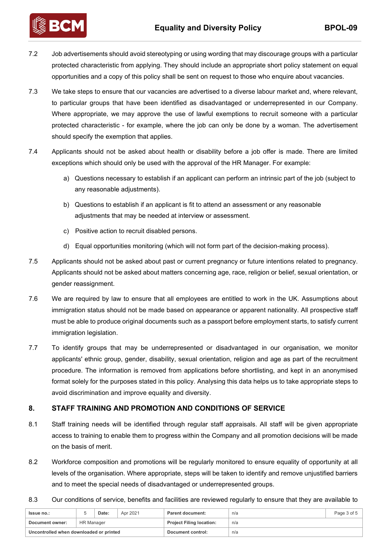

7.2 Job advertisements should avoid stereotyping or using wording that may discourage groups with a particular protected characteristic from applying. They should include an appropriate short policy statement on equal opportunities and a copy of this policy shall be sent on request to those who enquire about vacancies.

- 7.3 We take steps to ensure that our vacancies are advertised to a diverse labour market and, where relevant, to particular groups that have been identified as disadvantaged or underrepresented in our Company. Where appropriate, we may approve the use of lawful exemptions to recruit someone with a particular protected characteristic - for example, where the job can only be done by a woman. The advertisement should specify the exemption that applies.
- 7.4 Applicants should not be asked about health or disability before a job offer is made. There are limited exceptions which should only be used with the approval of the HR Manager. For example:
	- a) Questions necessary to establish if an applicant can perform an intrinsic part of the job (subject to any reasonable adjustments).
	- b) Questions to establish if an applicant is fit to attend an assessment or any reasonable adjustments that may be needed at interview or assessment.
	- c) Positive action to recruit disabled persons.
	- d) Equal opportunities monitoring (which will not form part of the decision-making process).
- 7.5 Applicants should not be asked about past or current pregnancy or future intentions related to pregnancy. Applicants should not be asked about matters concerning age, race, religion or belief, sexual orientation, or gender reassignment.
- 7.6 We are required by law to ensure that all employees are entitled to work in the UK. Assumptions about immigration status should not be made based on appearance or apparent nationality. All prospective staff must be able to produce original documents such as a passport before employment starts, to satisfy current immigration legislation.
- 7.7 To identify groups that may be underrepresented or disadvantaged in our organisation, we monitor applicants' ethnic group, gender, disability, sexual orientation, religion and age as part of the recruitment procedure. The information is removed from applications before shortlisting, and kept in an anonymised format solely for the purposes stated in this policy. Analysing this data helps us to take appropriate steps to avoid discrimination and improve equality and diversity.

# **8. STAFF TRAINING AND PROMOTION AND CONDITIONS OF SERVICE**

- 8.1 Staff training needs will be identified through regular staff appraisals. All staff will be given appropriate access to training to enable them to progress within the Company and all promotion decisions will be made on the basis of merit.
- 8.2 Workforce composition and promotions will be regularly monitored to ensure equality of opportunity at all levels of the organisation. Where appropriate, steps will be taken to identify and remove unjustified barriers and to meet the special needs of disadvantaged or underrepresented groups.
- 8.3 Our conditions of service, benefits and facilities are reviewed regularly to ensure that they are available to

| <b>Issue no.:</b>                       |                   | Date: | Apr 2021 | Parent document:                | n/a | Page 3 of 5 |
|-----------------------------------------|-------------------|-------|----------|---------------------------------|-----|-------------|
| Document owner:                         | <b>HR Manager</b> |       |          | <b>Project Filing location:</b> | n/a |             |
| Uncontrolled when downloaded or printed |                   |       |          | Document control:               | n/a |             |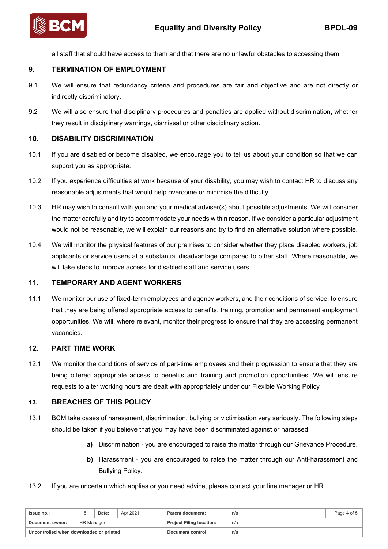

all staff that should have access to them and that there are no unlawful obstacles to accessing them.

## **9. TERMINATION OF EMPLOYMENT**

- 9.1 We will ensure that redundancy criteria and procedures are fair and objective and are not directly or indirectly discriminatory.
- 9.2 We will also ensure that disciplinary procedures and penalties are applied without discrimination, whether they result in disciplinary warnings, dismissal or other disciplinary action.

### **10. DISABILITY DISCRIMINATION**

- 10.1 If you are disabled or become disabled, we encourage you to tell us about your condition so that we can support you as appropriate.
- 10.2 If you experience difficulties at work because of your disability, you may wish to contact HR to discuss any reasonable adjustments that would help overcome or minimise the difficulty.
- 10.3 HR may wish to consult with you and your medical adviser(s) about possible adjustments. We will consider the matter carefully and try to accommodate your needs within reason. If we consider a particular adjustment would not be reasonable, we will explain our reasons and try to find an alternative solution where possible.
- 10.4 We will monitor the physical features of our premises to consider whether they place disabled workers, job applicants or service users at a substantial disadvantage compared to other staff. Where reasonable, we will take steps to improve access for disabled staff and service users.

### **11. TEMPORARY AND AGENT WORKERS**

11.1 We monitor our use of fixed-term employees and agency workers, and their conditions of service, to ensure that they are being offered appropriate access to benefits, training, promotion and permanent employment opportunities. We will, where relevant, monitor their progress to ensure that they are accessing permanent vacancies.

### **12. PART TIME WORK**

12.1 We monitor the conditions of service of part-time employees and their progression to ensure that they are being offered appropriate access to benefits and training and promotion opportunities. We will ensure requests to alter working hours are dealt with appropriately under our Flexible Working Policy

### **13. BREACHES OF THIS POLICY**

- 13.1 BCM take cases of harassment, discrimination, bullying or victimisation very seriously. The following steps should be taken if you believe that you may have been discriminated against or harassed:
	- **a)** Discrimination you are encouraged to raise the matter through our Grievance Procedure.
	- **b)** Harassment you are encouraged to raise the matter through our Anti-harassment and Bullying Policy.
- 13.2 If you are uncertain which applies or you need advice, please contact your line manager or HR.

| <b>Issue no.:</b>                       |                   | Date: | Apr 2021 | <b>Parent document:</b>         | n/a | Page 4 of 5 |
|-----------------------------------------|-------------------|-------|----------|---------------------------------|-----|-------------|
| Document owner:                         | <b>HR Manager</b> |       |          | <b>Project Filing location:</b> | n/a |             |
| Uncontrolled when downloaded or printed |                   |       |          | Document control:               | n/a |             |